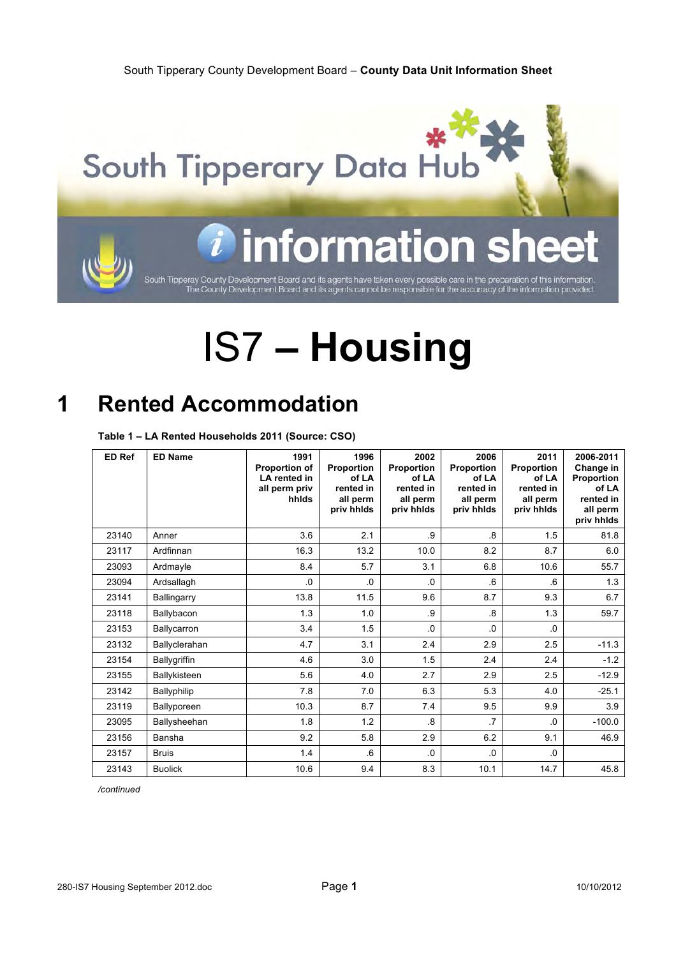

# information

South Tipperay County Development Board and its agents have taken every possible care in the preparation of this information<br>The County Development Board and its agents cannot be responsible for the accurracy of the inform

# IS7 **– Housing**

### **1 Rented Accommodation**

**Table 1 – LA Rented Households 2011 (Source: CSO)**

| <b>ED Ref</b> | <b>ED Name</b> | 1991<br>Proportion of<br>LA rented in<br>all perm priv<br>hhids | 1996<br>Proportion<br>of LA<br>rented in<br>all perm<br>priv hhids | 2002<br>Proportion<br>of LA<br>rented in<br>all perm<br>priv hhids | 2006<br>Proportion<br>of LA<br>rented in<br>all perm<br>priv hhids | 2011<br>Proportion<br>of LA<br>rented in<br>all perm<br>priv hhids | 2006-2011<br>Change in<br>Proportion<br>of LA<br>rented in<br>all perm<br>priv hhids |
|---------------|----------------|-----------------------------------------------------------------|--------------------------------------------------------------------|--------------------------------------------------------------------|--------------------------------------------------------------------|--------------------------------------------------------------------|--------------------------------------------------------------------------------------|
| 23140         | Anner          | 3.6                                                             | 2.1                                                                | .9                                                                 | $\overline{8}$                                                     | 1.5                                                                | 81.8                                                                                 |
| 23117         | Ardfinnan      | 16.3                                                            | 13.2                                                               | 10.0                                                               | 8.2                                                                | 8.7                                                                | 6.0                                                                                  |
| 23093         | Ardmayle       | 8.4                                                             | 5.7                                                                | 3.1                                                                | 6.8                                                                | 10.6                                                               | 55.7                                                                                 |
| 23094         | Ardsallagh     | 0.                                                              | 0.                                                                 | .0                                                                 | .6                                                                 | 6                                                                  | 1.3                                                                                  |
| 23141         | Ballingarry    | 13.8                                                            | 11.5                                                               | 9.6                                                                | 8.7                                                                | 9.3                                                                | 6.7                                                                                  |
| 23118         | Ballybacon     | 1.3                                                             | 1.0                                                                | .9                                                                 | $\overline{8}$                                                     | 1.3                                                                | 59.7                                                                                 |
| 23153         | Ballycarron    | 3.4                                                             | 1.5                                                                | .0                                                                 | .0                                                                 | 0.                                                                 |                                                                                      |
| 23132         | Ballyclerahan  | 4.7                                                             | 3.1                                                                | 2.4                                                                | 2.9                                                                | 2.5                                                                | $-11.3$                                                                              |
| 23154         | Ballygriffin   | 4.6                                                             | 3.0                                                                | 1.5                                                                | 2.4                                                                | 2.4                                                                | $-1.2$                                                                               |
| 23155         | Ballykisteen   | 5.6                                                             | 4.0                                                                | 2.7                                                                | 2.9                                                                | 2.5                                                                | $-12.9$                                                                              |
| 23142         | Ballyphilip    | 7.8                                                             | 7.0                                                                | 6.3                                                                | 5.3                                                                | 4.0                                                                | $-25.1$                                                                              |
| 23119         | Ballyporeen    | 10.3                                                            | 8.7                                                                | 7.4                                                                | 9.5                                                                | 9.9                                                                | 3.9                                                                                  |
| 23095         | Ballysheehan   | 1.8                                                             | 1.2                                                                | $\overline{8}$                                                     | $\overline{7}$                                                     | $\Omega$                                                           | $-100.0$                                                                             |
| 23156         | Bansha         | 9.2                                                             | 5.8                                                                | 2.9                                                                | 6.2                                                                | 9.1                                                                | 46.9                                                                                 |
| 23157         | <b>Bruis</b>   | 1.4                                                             | 6.6                                                                | $\Omega$                                                           | .0                                                                 | 0.                                                                 |                                                                                      |
| 23143         | <b>Buolick</b> | 10.6                                                            | 9.4                                                                | 8.3                                                                | 10.1                                                               | 14.7                                                               | 45.8                                                                                 |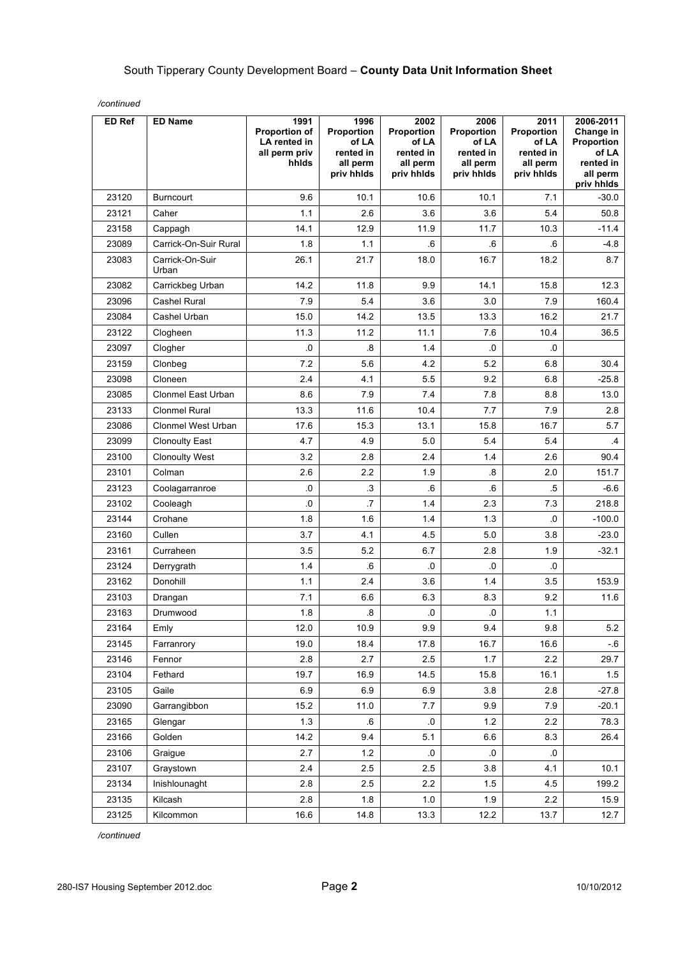| ED Ref | <b>ED Name</b>           | 1991<br><b>Proportion of</b><br>LA rented in<br>all perm priv<br>hhids | 1996<br>Proportion<br>of LA<br>rented in<br>all perm<br>priv hhlds | 2002<br>Proportion<br>of LA<br>rented in<br>all perm<br>priv hhlds | 2006<br>Proportion<br>of LA<br>rented in<br>all perm<br>priv hhlds | 2011<br>Proportion<br>of LA<br>rented in<br>all perm<br>priv hhlds | 2006-2011<br>Change in<br>Proportion<br>of LA<br>rented in<br>all perm<br>priv hhids |
|--------|--------------------------|------------------------------------------------------------------------|--------------------------------------------------------------------|--------------------------------------------------------------------|--------------------------------------------------------------------|--------------------------------------------------------------------|--------------------------------------------------------------------------------------|
| 23120  | <b>Burncourt</b>         | 9.6                                                                    | 10.1                                                               | 10.6                                                               | 10.1                                                               | 7.1                                                                | $-30.0$                                                                              |
| 23121  | Caher                    | 1.1                                                                    | 2.6                                                                | 3.6                                                                | 3.6                                                                | 5.4                                                                | 50.8                                                                                 |
| 23158  | Cappagh                  | 14.1                                                                   | 12.9                                                               | 11.9                                                               | 11.7                                                               | 10.3                                                               | $-11.4$                                                                              |
| 23089  | Carrick-On-Suir Rural    | 1.8                                                                    | 1.1                                                                | 6.6                                                                | 6.6                                                                | .6                                                                 | -4.8                                                                                 |
| 23083  | Carrick-On-Suir<br>Urban | 26.1                                                                   | 21.7                                                               | 18.0                                                               | 16.7                                                               | 18.2                                                               | 8.7                                                                                  |
| 23082  | Carrickbeg Urban         | 14.2                                                                   | 11.8                                                               | 9.9                                                                | 14.1                                                               | 15.8                                                               | 12.3                                                                                 |
| 23096  | <b>Cashel Rural</b>      | 7.9                                                                    | 5.4                                                                | 3.6                                                                | 3.0                                                                | 7.9                                                                | 160.4                                                                                |
| 23084  | Cashel Urban             | 15.0                                                                   | 14.2                                                               | 13.5                                                               | 13.3                                                               | 16.2                                                               | 21.7                                                                                 |
| 23122  | Clogheen                 | 11.3                                                                   | 11.2                                                               | 11.1                                                               | 7.6                                                                | 10.4                                                               | 36.5                                                                                 |
| 23097  | Clogher                  | $\overline{\mathbf{0}}$                                                | $\overline{\mathbf{8}}$                                            | 1.4                                                                | .0                                                                 | .0                                                                 |                                                                                      |
| 23159  | Clonbeg                  | 7.2                                                                    | 5.6                                                                | 4.2                                                                | 5.2                                                                | 6.8                                                                | 30.4                                                                                 |
| 23098  | Cloneen                  | 2.4                                                                    | 4.1                                                                | 5.5                                                                | 9.2                                                                | 6.8                                                                | $-25.8$                                                                              |
| 23085  | Clonmel East Urban       | 8.6                                                                    | 7.9                                                                | 7.4                                                                | 7.8                                                                | 8.8                                                                | 13.0                                                                                 |
| 23133  | <b>Clonmel Rural</b>     | 13.3                                                                   | 11.6                                                               | 10.4                                                               | 7.7                                                                | 7.9                                                                | 2.8                                                                                  |
| 23086  | Clonmel West Urban       | 17.6                                                                   | 15.3                                                               | 13.1                                                               | 15.8                                                               | 16.7                                                               | 5.7                                                                                  |
| 23099  | <b>Clonoulty East</b>    | 4.7                                                                    | 4.9                                                                | 5.0                                                                | 5.4                                                                | 5.4                                                                | $\cdot$                                                                              |
| 23100  | <b>Clonoulty West</b>    | 3.2                                                                    | 2.8                                                                | 2.4                                                                | 1.4                                                                | 2.6                                                                | 90.4                                                                                 |
| 23101  | Colman                   | 2.6                                                                    | 2.2                                                                | 1.9                                                                | .8                                                                 | 2.0                                                                | 151.7                                                                                |
| 23123  | Coolagarranroe           | .0                                                                     | $\cdot$ 3                                                          | .6                                                                 | 6.6                                                                | $.5\,$                                                             | $-6.6$                                                                               |
| 23102  | Cooleagh                 | .0                                                                     | $\overline{.7}$                                                    | 1.4                                                                | 2.3                                                                | 7.3                                                                | 218.8                                                                                |
| 23144  | Crohane                  | 1.8                                                                    | 1.6                                                                | 1.4                                                                | 1.3                                                                | 0.                                                                 | $-100.0$                                                                             |
| 23160  | Cullen                   | 3.7                                                                    | 4.1                                                                | 4.5                                                                | 5.0                                                                | 3.8                                                                | $-23.0$                                                                              |
| 23161  | Curraheen                | 3.5                                                                    | 5.2                                                                | 6.7                                                                | 2.8                                                                | 1.9                                                                | $-32.1$                                                                              |
| 23124  | Derrygrath               | 1.4                                                                    | 6.6                                                                | .0                                                                 | .0                                                                 | 0.                                                                 |                                                                                      |
| 23162  | Donohill                 | 1.1                                                                    | 2.4                                                                | 3.6                                                                | 1.4                                                                | 3.5                                                                | 153.9                                                                                |
| 23103  | Drangan                  | 7.1                                                                    | 6.6                                                                | 6.3                                                                | 8.3                                                                | 9.2                                                                | 11.6                                                                                 |
| 23163  | Drumwood                 | 1.8                                                                    | $\boldsymbol{.8}$                                                  | $\overline{\mathbf{0}}$                                            | .0                                                                 | 1.1                                                                |                                                                                      |
| 23164  | Emly                     | 12.0                                                                   | 10.9                                                               | 9.9                                                                | 9.4                                                                | 9.8                                                                | 5.2                                                                                  |
| 23145  | Farranrory               | 19.0                                                                   | 18.4                                                               | 17.8                                                               | 16.7                                                               | 16.6                                                               | $-6$                                                                                 |
| 23146  | Fennor                   | 2.8                                                                    | 2.7                                                                | 2.5                                                                | 1.7                                                                | 2.2                                                                | 29.7                                                                                 |
| 23104  | Fethard                  | 19.7                                                                   | 16.9                                                               | 14.5                                                               | 15.8                                                               | 16.1                                                               | 1.5                                                                                  |
| 23105  | Gaile                    | 6.9                                                                    | 6.9                                                                | 6.9                                                                | 3.8                                                                | 2.8                                                                | $-27.8$                                                                              |
| 23090  | Garrangibbon             | 15.2                                                                   | 11.0                                                               | 7.7                                                                | 9.9                                                                | 7.9                                                                | $-20.1$                                                                              |
| 23165  | Glengar                  | 1.3                                                                    | $6 \cdot$                                                          | 0.                                                                 | 1.2                                                                | 2.2                                                                | 78.3                                                                                 |
| 23166  | Golden                   | 14.2                                                                   | 9.4                                                                | 5.1                                                                | 6.6                                                                | 8.3                                                                | 26.4                                                                                 |
| 23106  | Graigue                  | 2.7                                                                    | 1.2                                                                | .0                                                                 | .0                                                                 | .0                                                                 |                                                                                      |
| 23107  | Graystown                | 2.4                                                                    | 2.5                                                                | 2.5                                                                | 3.8                                                                | 4.1                                                                | 10.1                                                                                 |
| 23134  | Inishlounaght            | 2.8                                                                    | 2.5                                                                | 2.2                                                                | 1.5                                                                | 4.5                                                                | 199.2                                                                                |
| 23135  | Kilcash                  | 2.8                                                                    | 1.8                                                                | 1.0                                                                | 1.9                                                                | $2.2\,$                                                            | 15.9                                                                                 |
| 23125  | Kilcommon                | 16.6                                                                   | 14.8                                                               | 13.3                                                               | 12.2                                                               | 13.7                                                               | 12.7                                                                                 |

*/continued*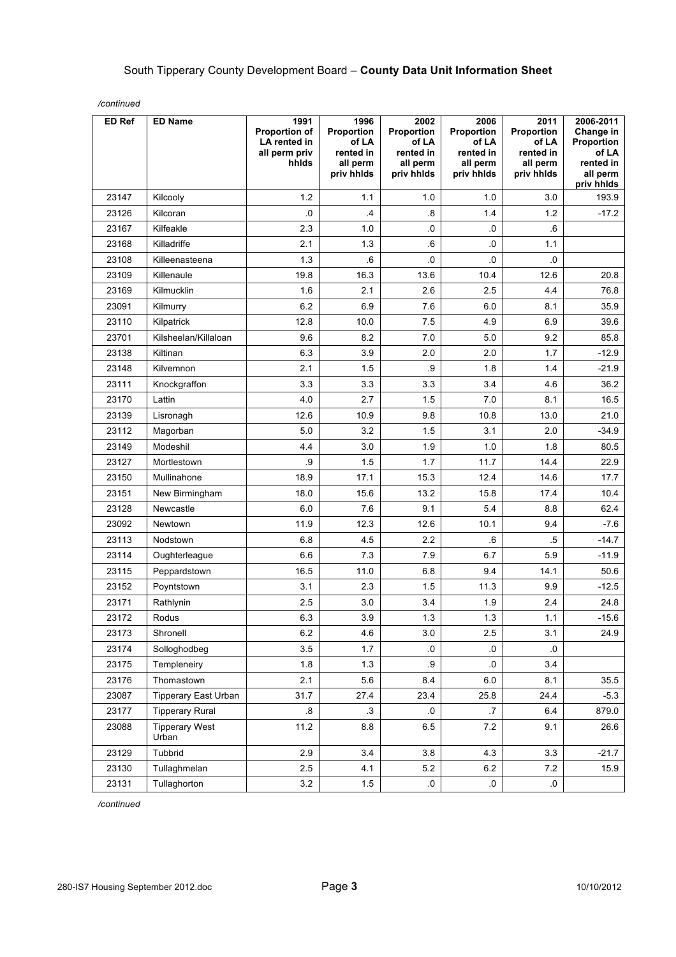| ED Ref | <b>ED Name</b>                 | 1991<br><b>Proportion of</b><br>LA rented in<br>all perm priv<br>hhids | 1996<br>Proportion<br>of LA<br>rented in<br>all perm<br>priv hhlds | 2002<br>Proportion<br>of LA<br>rented in<br>all perm<br>priv hhlds | 2006<br>Proportion<br>of LA<br>rented in<br>all perm<br>priv hhlds | 2011<br>Proportion<br>of LA<br>rented in<br>all perm<br>priv hhlds | 2006-2011<br>Change in<br>Proportion<br>of LA<br>rented in<br>all perm<br>priv hhlds |
|--------|--------------------------------|------------------------------------------------------------------------|--------------------------------------------------------------------|--------------------------------------------------------------------|--------------------------------------------------------------------|--------------------------------------------------------------------|--------------------------------------------------------------------------------------|
| 23147  | Kilcooly                       | 1.2                                                                    | 1.1                                                                | 1.0                                                                | 1.0                                                                | 3.0                                                                | 193.9                                                                                |
| 23126  | Kilcoran                       | .0                                                                     | .4                                                                 | $\boldsymbol{.8}$                                                  | 1.4                                                                | 1.2                                                                | $-17.2$                                                                              |
| 23167  | Kilfeakle                      | 2.3                                                                    | 1.0                                                                | .0                                                                 | $\cdot 0$                                                          | .6                                                                 |                                                                                      |
| 23168  | Killadriffe                    | 2.1                                                                    | 1.3                                                                | 6.6                                                                | .0                                                                 | 1.1                                                                |                                                                                      |
| 23108  | Killeenasteena                 | 1.3                                                                    | 6.                                                                 | .0                                                                 | 0.                                                                 | 0.                                                                 |                                                                                      |
| 23109  | Killenaule                     | 19.8                                                                   | 16.3                                                               | 13.6                                                               | 10.4                                                               | 12.6                                                               | 20.8                                                                                 |
| 23169  | Kilmucklin                     | 1.6                                                                    | 2.1                                                                | 2.6                                                                | 2.5                                                                | 4.4                                                                | 76.8                                                                                 |
| 23091  | Kilmurry                       | 6.2                                                                    | 6.9                                                                | 7.6                                                                | 6.0                                                                | 8.1                                                                | 35.9                                                                                 |
| 23110  | Kilpatrick                     | 12.8                                                                   | 10.0                                                               | 7.5                                                                | 4.9                                                                | 6.9                                                                | 39.6                                                                                 |
| 23701  | Kilsheelan/Killaloan           | 9.6                                                                    | 8.2                                                                | 7.0                                                                | 5.0                                                                | 9.2                                                                | 85.8                                                                                 |
| 23138  | Kiltinan                       | 6.3                                                                    | 3.9                                                                | 2.0                                                                | 2.0                                                                | 1.7                                                                | $-12.9$                                                                              |
| 23148  | Kilvemnon                      | 2.1                                                                    | 1.5                                                                | .9                                                                 | 1.8                                                                | 1.4                                                                | $-21.9$                                                                              |
| 23111  | Knockgraffon                   | 3.3                                                                    | 3.3                                                                | 3.3                                                                | 3.4                                                                | 4.6                                                                | 36.2                                                                                 |
| 23170  | Lattin                         | 4.0                                                                    | 2.7                                                                | 1.5                                                                | 7.0                                                                | 8.1                                                                | 16.5                                                                                 |
| 23139  | Lisronagh                      | 12.6                                                                   | 10.9                                                               | 9.8                                                                | 10.8                                                               | 13.0                                                               | 21.0                                                                                 |
| 23112  | Magorban                       | 5.0                                                                    | 3.2                                                                | 1.5                                                                | 3.1                                                                | 2.0                                                                | $-34.9$                                                                              |
| 23149  | Modeshil                       | 4.4                                                                    | 3.0                                                                | 1.9                                                                | 1.0                                                                | 1.8                                                                | 80.5                                                                                 |
| 23127  | Mortlestown                    | .9                                                                     | 1.5                                                                | 1.7                                                                | 11.7                                                               | 14.4                                                               | 22.9                                                                                 |
| 23150  | Mullinahone                    | 18.9                                                                   | 17.1                                                               | 15.3                                                               | 12.4                                                               | 14.6                                                               | 17.7                                                                                 |
| 23151  | New Birmingham                 | 18.0                                                                   | 15.6                                                               | 13.2                                                               | 15.8                                                               | 17.4                                                               | 10.4                                                                                 |
| 23128  | Newcastle                      | 6.0                                                                    | 7.6                                                                | 9.1                                                                | 5.4                                                                | 8.8                                                                | 62.4                                                                                 |
| 23092  | Newtown                        | 11.9                                                                   | 12.3                                                               | 12.6                                                               | 10.1                                                               | 9.4                                                                | $-7.6$                                                                               |
| 23113  | Nodstown                       | 6.8                                                                    | 4.5                                                                | 2.2                                                                | .6                                                                 | .5                                                                 | $-14.7$                                                                              |
| 23114  | Oughterleague                  | 6.6                                                                    | 7.3                                                                | 7.9                                                                | 6.7                                                                | 5.9                                                                | $-11.9$                                                                              |
| 23115  | Peppardstown                   | 16.5                                                                   | 11.0                                                               | 6.8                                                                | 9.4                                                                | 14.1                                                               | 50.6                                                                                 |
| 23152  | Poyntstown                     | 3.1                                                                    | 2.3                                                                | 1.5                                                                | 11.3                                                               | 9.9                                                                | $-12.5$                                                                              |
| 23171  | Rathlynin                      | 2.5                                                                    | 3.0                                                                | 3.4                                                                | 1.9                                                                | 2.4                                                                | 24.8                                                                                 |
| 23172  | Rodus                          | 6.3                                                                    | 3.9                                                                | 1.3                                                                | 1.3                                                                | 1.1                                                                | $-15.6$                                                                              |
| 23173  | Shronell                       | 6.2                                                                    | 4.6                                                                | 3.0                                                                | 2.5                                                                | 3.1                                                                | 24.9                                                                                 |
| 23174  | Solloghodbeg                   | 3.5                                                                    | 1.7                                                                | .0                                                                 | 0.                                                                 | $\cdot$                                                            |                                                                                      |
| 23175  | Templeneiry                    | 1.8                                                                    | 1.3                                                                | .9                                                                 | $\cdot 0$                                                          | 3.4                                                                |                                                                                      |
| 23176  | Thomastown                     | 2.1                                                                    | 5.6                                                                | 8.4                                                                | 6.0                                                                | 8.1                                                                | 35.5                                                                                 |
| 23087  | Tipperary East Urban           | 31.7                                                                   | 27.4                                                               | 23.4                                                               | 25.8                                                               | 24.4                                                               | $-5.3$                                                                               |
| 23177  | <b>Tipperary Rural</b>         | $\boldsymbol{.8}$                                                      | $\cdot$ 3                                                          | 0.                                                                 | .7                                                                 | 6.4                                                                | 879.0                                                                                |
| 23088  | <b>Tipperary West</b><br>Urban | 11.2                                                                   | 8.8                                                                | 6.5                                                                | $7.2\,$                                                            | 9.1                                                                | 26.6                                                                                 |
| 23129  | Tubbrid                        | 2.9                                                                    | 3.4                                                                | 3.8                                                                | 4.3                                                                | 3.3                                                                | $-21.7$                                                                              |
| 23130  | Tullaghmelan                   | 2.5                                                                    | 4.1                                                                | 5.2                                                                | 6.2                                                                | 7.2                                                                | 15.9                                                                                 |
| 23131  | Tullaghorton                   | $3.2\,$                                                                | 1.5                                                                | 0.                                                                 | $\cdot$ 0.                                                         | 0.                                                                 |                                                                                      |

*/continued*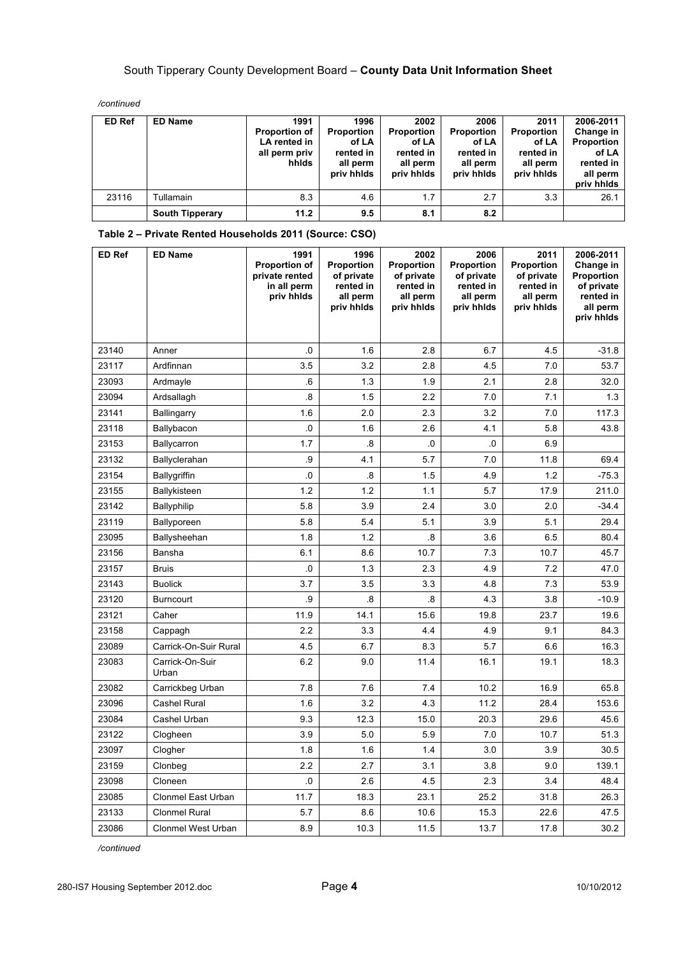*/continued*

| ED Ref | <b>ED Name</b>         | 1991<br><b>Proportion of</b><br>LA rented in<br>all perm priv<br>hhids | 1996<br><b>Proportion</b><br>of LA<br>rented in<br>all perm<br>priv hhids | 2002<br><b>Proportion</b><br>of LA<br>rented in<br>all perm<br>priv hhids | 2006<br>Proportion<br>of LA<br>rented in<br>all perm<br>priv hhids | 2011<br><b>Proportion</b><br>of LA<br>rented in<br>all perm<br>priv hhids | 2006-2011<br>Change in<br>Proportion<br>of LA<br>rented in<br>all perm<br>priv hhids |
|--------|------------------------|------------------------------------------------------------------------|---------------------------------------------------------------------------|---------------------------------------------------------------------------|--------------------------------------------------------------------|---------------------------------------------------------------------------|--------------------------------------------------------------------------------------|
| 23116  | Tullamain              | 8.3                                                                    | 4.6                                                                       | 1.7                                                                       | 2.7                                                                | 3.3                                                                       | 26.1                                                                                 |
|        | <b>South Tipperary</b> | 11.2                                                                   | 9.5                                                                       | 8.1                                                                       | 8.2                                                                |                                                                           |                                                                                      |

| ED Ref | <b>ED Name</b>           | 1991<br><b>Proportion of</b><br>private rented<br>in all perm<br>priv hhids | 1996<br><b>Proportion</b><br>of private<br>rented in<br>all perm<br>priv hhids | 2002<br>Proportion<br>of private<br>rented in<br>all perm<br>priv hhids | 2006<br>Proportion<br>of private<br>rented in<br>all perm<br>priv hhids | 2011<br><b>Proportion</b><br>of private<br>rented in<br>all perm<br>priv hhids | 2006-2011<br>Change in<br>Proportion<br>of private<br>rented in<br>all perm<br>priv hhids |
|--------|--------------------------|-----------------------------------------------------------------------------|--------------------------------------------------------------------------------|-------------------------------------------------------------------------|-------------------------------------------------------------------------|--------------------------------------------------------------------------------|-------------------------------------------------------------------------------------------|
|        |                          |                                                                             |                                                                                |                                                                         |                                                                         |                                                                                |                                                                                           |
| 23140  | Anner                    | .0                                                                          | 1.6                                                                            | 2.8                                                                     | 6.7                                                                     | 4.5                                                                            | $-31.8$                                                                                   |
| 23117  | Ardfinnan                | 3.5                                                                         | 3.2                                                                            | 2.8                                                                     | 4.5                                                                     | 7.0                                                                            | 53.7                                                                                      |
| 23093  | Ardmayle                 | .6                                                                          | 1.3                                                                            | 1.9                                                                     | 2.1                                                                     | 2.8                                                                            | 32.0                                                                                      |
| 23094  | Ardsallagh               | $\boldsymbol{.8}$                                                           | 1.5                                                                            | 2.2                                                                     | 7.0                                                                     | 7.1                                                                            | 1.3                                                                                       |
| 23141  | <b>Ballingarry</b>       | 1.6                                                                         | 2.0                                                                            | 2.3                                                                     | 3.2                                                                     | 7.0                                                                            | 117.3                                                                                     |
| 23118  | Ballybacon               | .0                                                                          | 1.6                                                                            | 2.6                                                                     | 4.1                                                                     | 5.8                                                                            | 43.8                                                                                      |
| 23153  | Ballycarron              | 1.7                                                                         | 8.                                                                             | .0                                                                      | .0                                                                      | 6.9                                                                            |                                                                                           |
| 23132  | Ballyclerahan            | .9                                                                          | 4.1                                                                            | 5.7                                                                     | 7.0                                                                     | 11.8                                                                           | 69.4                                                                                      |
| 23154  | <b>Ballygriffin</b>      | .0                                                                          | 8.5                                                                            | 1.5                                                                     | 4.9                                                                     | 1.2                                                                            | $-75.3$                                                                                   |
| 23155  | Ballykisteen             | 1.2                                                                         | 1.2                                                                            | 1.1                                                                     | 5.7                                                                     | 17.9                                                                           | 211.0                                                                                     |
| 23142  | <b>Ballyphilip</b>       | 5.8                                                                         | 3.9                                                                            | 2.4                                                                     | 3.0                                                                     | 2.0                                                                            | -34.4                                                                                     |
| 23119  | Ballyporeen              | 5.8                                                                         | 5.4                                                                            | 5.1                                                                     | 3.9                                                                     | 5.1                                                                            | 29.4                                                                                      |
| 23095  | Ballysheehan             | 1.8                                                                         | 1.2                                                                            | $\boldsymbol{.8}$                                                       | 3.6                                                                     | 6.5                                                                            | 80.4                                                                                      |
| 23156  | Bansha                   | 6.1                                                                         | 8.6                                                                            | 10.7                                                                    | 7.3                                                                     | 10.7                                                                           | 45.7                                                                                      |
| 23157  | <b>Bruis</b>             | $\overline{\mathbf{0}}$                                                     | 1.3                                                                            | 2.3                                                                     | 4.9                                                                     | 7.2                                                                            | 47.0                                                                                      |
| 23143  | <b>Buolick</b>           | 3.7                                                                         | 3.5                                                                            | 3.3                                                                     | 4.8                                                                     | 7.3                                                                            | 53.9                                                                                      |
| 23120  | <b>Burncourt</b>         | .9                                                                          | 8.                                                                             | $\boldsymbol{.8}$                                                       | 4.3                                                                     | 3.8                                                                            | $-10.9$                                                                                   |
| 23121  | Caher                    | 11.9                                                                        | 14.1                                                                           | 15.6                                                                    | 19.8                                                                    | 23.7                                                                           | 19.6                                                                                      |
| 23158  | Cappagh                  | 2.2                                                                         | 3.3                                                                            | 4.4                                                                     | 4.9                                                                     | 9.1                                                                            | 84.3                                                                                      |
| 23089  | Carrick-On-Suir Rural    | 4.5                                                                         | 6.7                                                                            | 8.3                                                                     | 5.7                                                                     | 6.6                                                                            | 16.3                                                                                      |
| 23083  | Carrick-On-Suir<br>Urban | 6.2                                                                         | 9.0                                                                            | 11.4                                                                    | 16.1                                                                    | 19.1                                                                           | 18.3                                                                                      |
| 23082  | Carrickbeg Urban         | 7.8                                                                         | 7.6                                                                            | 7.4                                                                     | 10.2                                                                    | 16.9                                                                           | 65.8                                                                                      |
| 23096  | <b>Cashel Rural</b>      | 1.6                                                                         | 3.2                                                                            | 4.3                                                                     | 11.2                                                                    | 28.4                                                                           | 153.6                                                                                     |
| 23084  | Cashel Urban             | 9.3                                                                         | 12.3                                                                           | 15.0                                                                    | 20.3                                                                    | 29.6                                                                           | 45.6                                                                                      |
| 23122  | Clogheen                 | 3.9                                                                         | 5.0                                                                            | 5.9                                                                     | 7.0                                                                     | 10.7                                                                           | 51.3                                                                                      |
| 23097  | Clogher                  | 1.8                                                                         | 1.6                                                                            | 1.4                                                                     | 3.0                                                                     | 3.9                                                                            | 30.5                                                                                      |
| 23159  | Clonbeg                  | 2.2                                                                         | 2.7                                                                            | 3.1                                                                     | 3.8                                                                     | 9.0                                                                            | 139.1                                                                                     |
| 23098  | Cloneen                  | $\overline{\mathbf{0}}$                                                     | 2.6                                                                            | 4.5                                                                     | 2.3                                                                     | 3.4                                                                            | 48.4                                                                                      |
| 23085  | Clonmel East Urban       | 11.7                                                                        | 18.3                                                                           | 23.1                                                                    | 25.2                                                                    | 31.8                                                                           | 26.3                                                                                      |
| 23133  | <b>Clonmel Rural</b>     | 5.7                                                                         | 8.6                                                                            | 10.6                                                                    | 15.3                                                                    | 22.6                                                                           | 47.5                                                                                      |
| 23086  | Clonmel West Urban       | 8.9                                                                         | 10.3                                                                           | 11.5                                                                    | 13.7                                                                    | 17.8                                                                           | 30.2                                                                                      |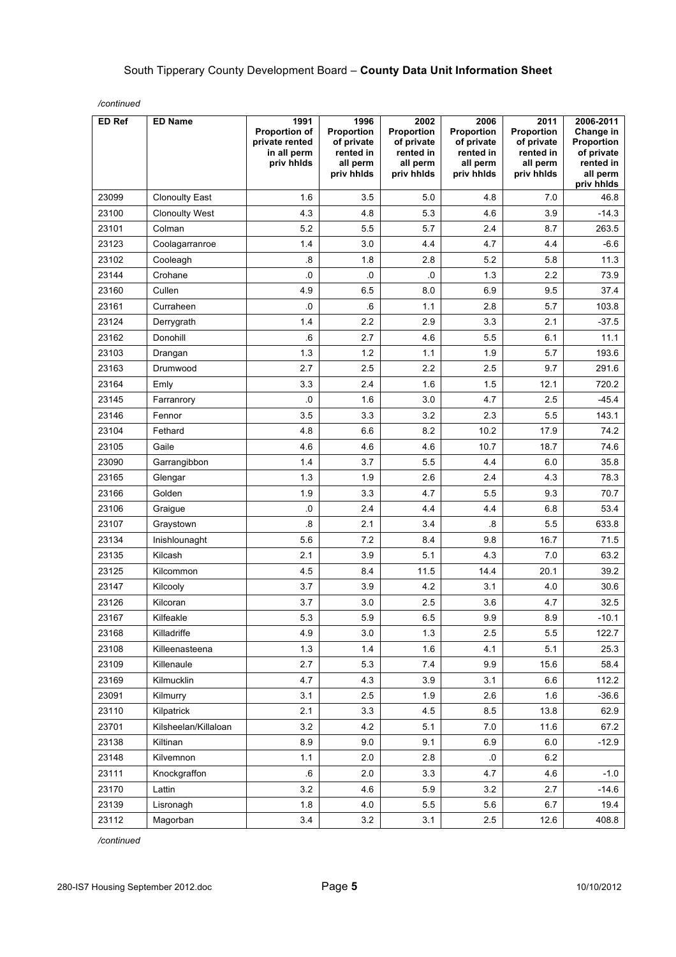| ED Ref | <b>ED Name</b>        | 1991<br><b>Proportion of</b><br>private rented<br>in all perm<br>priv hhids | 1996<br>Proportion<br>of private<br>rented in<br>all perm | 2002<br>Proportion<br>of private<br>rented in<br>all perm | 2006<br>Proportion<br>of private<br>rented in<br>all perm | 2011<br><b>Proportion</b><br>of private<br>rented in<br>all perm | 2006-2011<br>Change in<br>Proportion<br>of private<br>rented in |
|--------|-----------------------|-----------------------------------------------------------------------------|-----------------------------------------------------------|-----------------------------------------------------------|-----------------------------------------------------------|------------------------------------------------------------------|-----------------------------------------------------------------|
|        |                       |                                                                             | priv hhlds                                                | priv hhlds                                                | priv hhlds                                                | priv hhids                                                       | all perm<br>priv hhids                                          |
| 23099  | <b>Clonoulty East</b> | 1.6                                                                         | 3.5                                                       | 5.0                                                       | 4.8                                                       | 7.0                                                              | 46.8                                                            |
| 23100  | <b>Clonoulty West</b> | 4.3                                                                         | 4.8                                                       | 5.3                                                       | 4.6                                                       | 3.9                                                              | $-14.3$                                                         |
| 23101  | Colman                | 5.2                                                                         | 5.5                                                       | 5.7                                                       | 2.4                                                       | 8.7                                                              | 263.5                                                           |
| 23123  | Coolagarranroe        | 1.4                                                                         | 3.0                                                       | 4.4                                                       | 4.7                                                       | 4.4                                                              | $-6.6$                                                          |
| 23102  | Cooleagh              | .8                                                                          | 1.8                                                       | 2.8                                                       | 5.2                                                       | 5.8                                                              | 11.3                                                            |
| 23144  | Crohane               | .0                                                                          | .0                                                        | .0                                                        | 1.3                                                       | 2.2                                                              | 73.9                                                            |
| 23160  | Cullen                | 4.9                                                                         | 6.5                                                       | 8.0                                                       | 6.9                                                       | 9.5                                                              | 37.4                                                            |
| 23161  | Curraheen             | .0                                                                          | .6                                                        | 1.1                                                       | 2.8                                                       | 5.7                                                              | 103.8                                                           |
| 23124  | Derrygrath            | 1.4                                                                         | 2.2                                                       | 2.9                                                       | 3.3                                                       | 2.1                                                              | $-37.5$                                                         |
| 23162  | Donohill              | 6.6                                                                         | 2.7                                                       | 4.6                                                       | 5.5                                                       | 6.1                                                              | 11.1                                                            |
| 23103  | Drangan               | 1.3                                                                         | 1.2                                                       | 1.1                                                       | 1.9                                                       | 5.7                                                              | 193.6                                                           |
| 23163  | Drumwood              | 2.7                                                                         | 2.5                                                       | 2.2                                                       | 2.5                                                       | 9.7                                                              | 291.6                                                           |
| 23164  | Emly                  | 3.3                                                                         | 2.4                                                       | 1.6                                                       | 1.5                                                       | 12.1                                                             | 720.2                                                           |
| 23145  | Farranrory            | .0                                                                          | 1.6                                                       | 3.0                                                       | 4.7                                                       | 2.5                                                              | $-45.4$                                                         |
| 23146  | Fennor                | 3.5                                                                         | 3.3                                                       | 3.2                                                       | 2.3                                                       | 5.5                                                              | 143.1                                                           |
| 23104  | Fethard               | 4.8                                                                         | 6.6                                                       | 8.2                                                       | 10.2                                                      | 17.9                                                             | 74.2                                                            |
| 23105  | Gaile                 | 4.6                                                                         | 4.6                                                       | 4.6                                                       | 10.7                                                      | 18.7                                                             | 74.6                                                            |
| 23090  | Garrangibbon          | 1.4                                                                         | 3.7                                                       | 5.5                                                       | 4.4                                                       | 6.0                                                              | 35.8                                                            |
| 23165  | Glengar               | 1.3                                                                         | 1.9                                                       | 2.6                                                       | 2.4                                                       | 4.3                                                              | 78.3                                                            |
| 23166  | Golden                | 1.9                                                                         | 3.3                                                       | 4.7                                                       | 5.5                                                       | 9.3                                                              | 70.7                                                            |
| 23106  | Graigue               | $.0\,$                                                                      | 2.4                                                       | 4.4                                                       | 4.4                                                       | 6.8                                                              | 53.4                                                            |
| 23107  | Graystown             | 8.                                                                          | 2.1                                                       | 3.4                                                       | 8.                                                        | 5.5                                                              | 633.8                                                           |
| 23134  | Inishlounaght         | 5.6                                                                         | 7.2                                                       | 8.4                                                       | 9.8                                                       | 16.7                                                             | 71.5                                                            |
| 23135  | Kilcash               | 2.1                                                                         | 3.9                                                       | 5.1                                                       | 4.3                                                       | 7.0                                                              | 63.2                                                            |
| 23125  | Kilcommon             | 4.5                                                                         | 8.4                                                       | 11.5                                                      | 14.4                                                      | 20.1                                                             | 39.2                                                            |
| 23147  | Kilcooly              | 3.7                                                                         | 3.9                                                       | 4.2                                                       | 3.1                                                       | 4.0                                                              | 30.6                                                            |
| 23126  | Kilcoran              | 3.7                                                                         | 3.0                                                       | 2.5                                                       | 3.6                                                       | 4.7                                                              | 32.5                                                            |
| 23167  | Kilfeakle             | 5.3                                                                         | 5.9                                                       | 6.5                                                       | 9.9                                                       | 8.9                                                              | $-10.1$                                                         |
| 23168  | Killadriffe           | 4.9                                                                         | 3.0                                                       | 1.3                                                       | 2.5                                                       | 5.5                                                              | 122.7                                                           |
| 23108  | Killeenasteena        | 1.3                                                                         | 1.4                                                       | 1.6                                                       | 4.1                                                       | 5.1                                                              | 25.3                                                            |
| 23109  | Killenaule            | 2.7                                                                         | 5.3                                                       | 7.4                                                       | 9.9                                                       | 15.6                                                             | 58.4                                                            |
| 23169  | Kilmucklin            | 4.7                                                                         | 4.3                                                       | 3.9                                                       | 3.1                                                       | 6.6                                                              | 112.2                                                           |
| 23091  | Kilmurry              | 3.1                                                                         | 2.5                                                       | 1.9                                                       | 2.6                                                       | 1.6                                                              | $-36.6$                                                         |
| 23110  | Kilpatrick            | 2.1                                                                         | 3.3                                                       | 4.5                                                       | 8.5                                                       | 13.8                                                             | 62.9                                                            |
| 23701  | Kilsheelan/Killaloan  | 3.2                                                                         | 4.2                                                       | 5.1                                                       | 7.0                                                       | 11.6                                                             | 67.2                                                            |
| 23138  | Kiltinan              | 8.9                                                                         | 9.0                                                       | 9.1                                                       | 6.9                                                       | 6.0                                                              | $-12.9$                                                         |
| 23148  | Kilvemnon             | 1.1                                                                         | 2.0                                                       | 2.8                                                       | $\cdot$ 0                                                 | $6.2\,$                                                          |                                                                 |
| 23111  | Knockgraffon          | .6                                                                          | 2.0                                                       | 3.3                                                       | 4.7                                                       | 4.6                                                              | $-1.0$                                                          |
| 23170  | Lattin                | 3.2                                                                         | 4.6                                                       | 5.9                                                       | 3.2                                                       | 2.7                                                              | $-14.6$                                                         |
| 23139  | Lisronagh             | 1.8                                                                         | 4.0                                                       | 5.5                                                       | 5.6                                                       | 6.7                                                              | 19.4                                                            |
| 23112  | Magorban              | 3.4                                                                         | 3.2                                                       | 3.1                                                       | $2.5\,$                                                   | 12.6                                                             | 408.8                                                           |

*/continued*